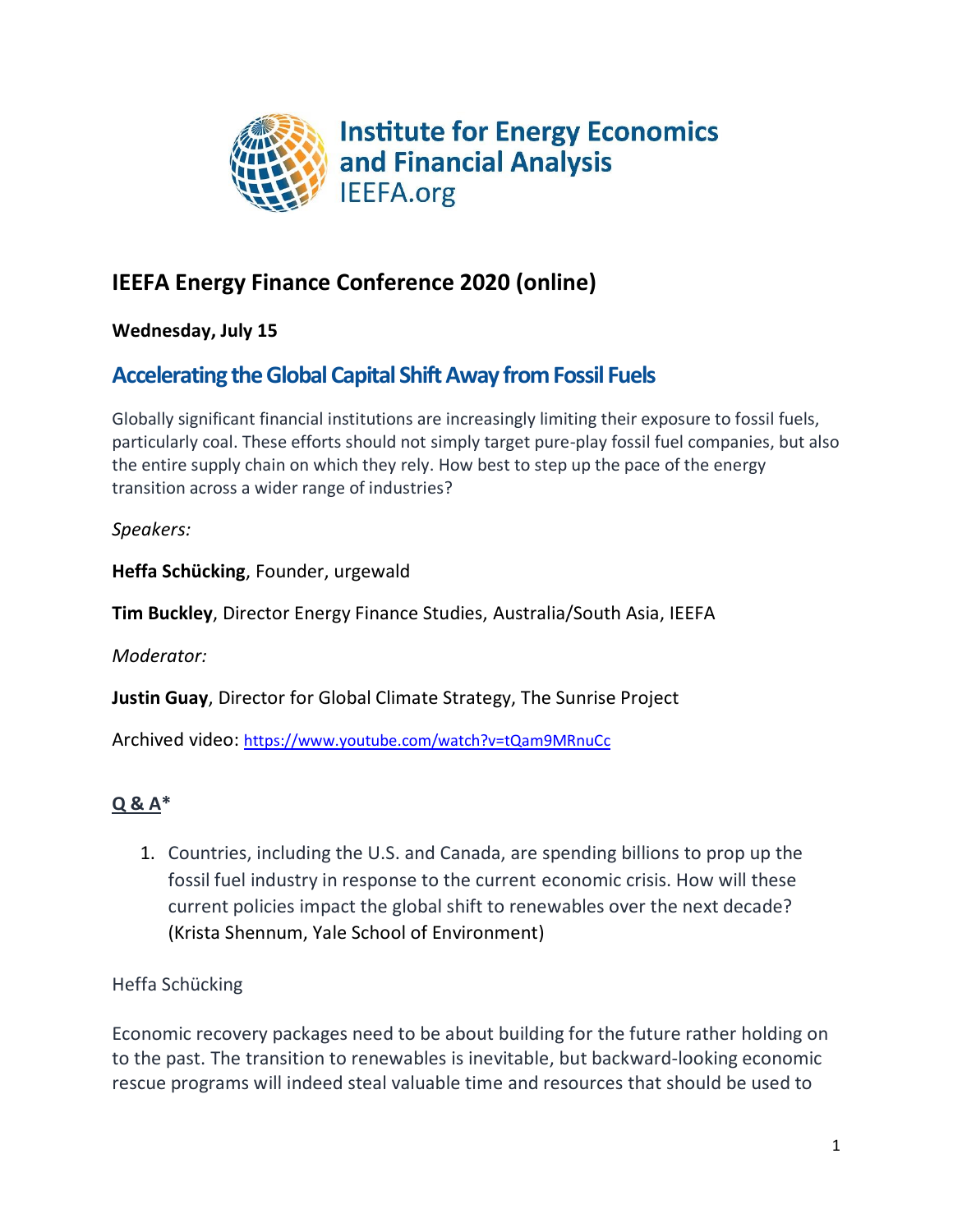

# **IEEFA Energy Finance Conference 2020 (online)**

**Wednesday, July 15**

## **Accelerating the Global Capital Shift Away from Fossil Fuels**

Globally significant financial institutions are increasingly limiting their exposure to fossil fuels, particularly coal. These efforts should not simply target pure-play fossil fuel companies, but also the entire supply chain on which they rely. How best to step up the pace of the energy transition across a wider range of industries?

*Speakers:*

**Heffa Schücking**, Founder, urgewald

**Tim Buckley**, Director Energy Finance Studies, Australia/South Asia, IEEFA

*Moderator:*

**Justin Guay**, Director for Global Climate Strategy, The Sunrise Project

Archived video: <https://www.youtube.com/watch?v=tQam9MRnuCc>

## **Q & A\***

1. Countries, including the U.S. and Canada, are spending billions to prop up the fossil fuel industry in response to the current economic crisis. How will these current policies impact the global shift to renewables over the next decade? (Krista Shennum, Yale School of Environment)

## Heffa Schücking

Economic recovery packages need to be about building for the future rather holding on to the past. The transition to renewables is inevitable, but backward-looking economic rescue programs will indeed steal valuable time and resources that should be used to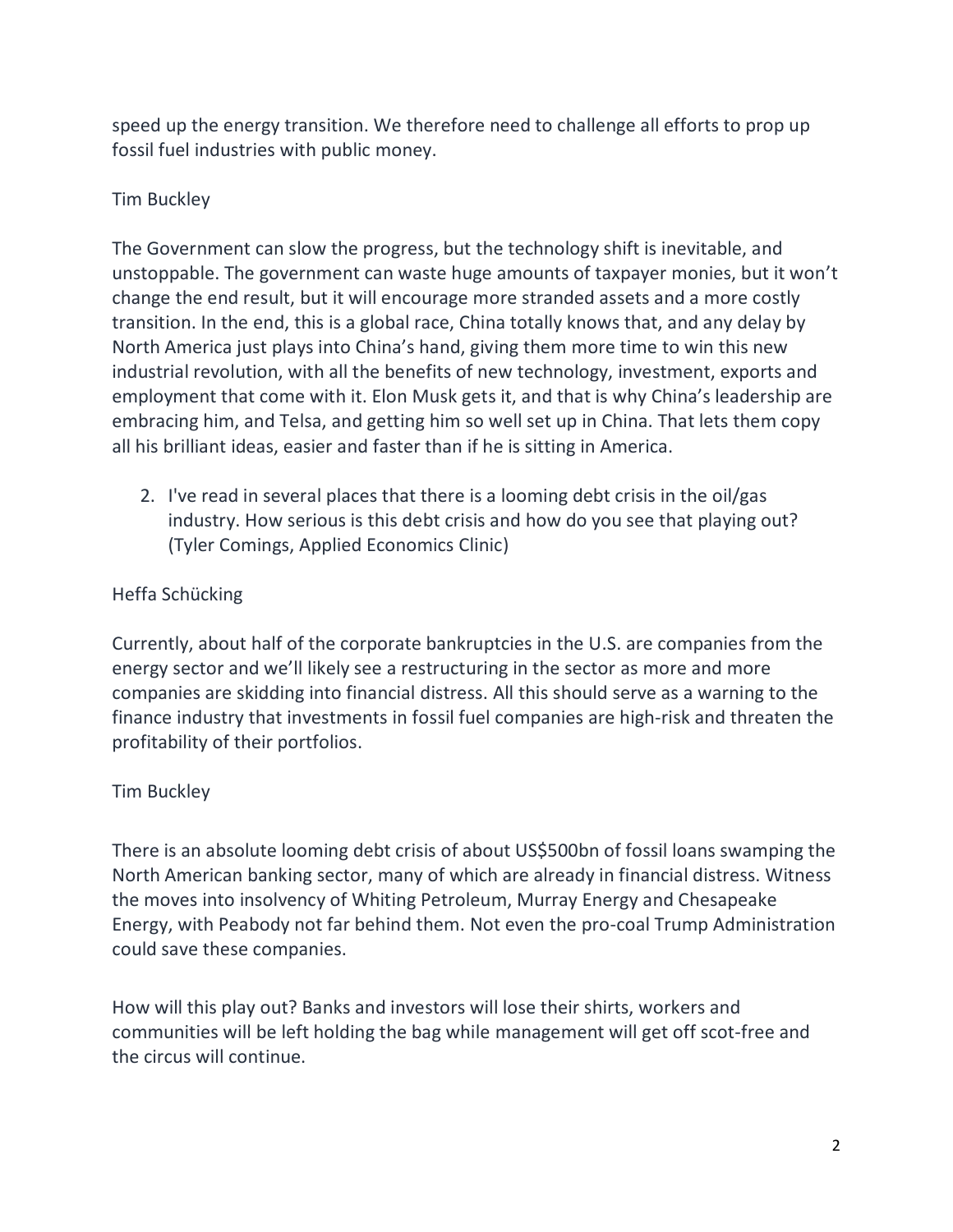speed up the energy transition. We therefore need to challenge all efforts to prop up fossil fuel industries with public money.

#### Tim Buckley

The Government can slow the progress, but the technology shift is inevitable, and unstoppable. The government can waste huge amounts of taxpayer monies, but it won't change the end result, but it will encourage more stranded assets and a more costly transition. In the end, this is a global race, China totally knows that, and any delay by North America just plays into China's hand, giving them more time to win this new industrial revolution, with all the benefits of new technology, investment, exports and employment that come with it. Elon Musk gets it, and that is why China's leadership are embracing him, and Telsa, and getting him so well set up in China. That lets them copy all his brilliant ideas, easier and faster than if he is sitting in America.

2. I've read in several places that there is a looming debt crisis in the oil/gas industry. How serious is this debt crisis and how do you see that playing out? (Tyler Comings, Applied Economics Clinic)

### Heffa Schücking

Currently, about half of the corporate bankruptcies in the U.S. are companies from the energy sector and we'll likely see a restructuring in the sector as more and more companies are skidding into financial distress. All this should serve as a warning to the finance industry that investments in fossil fuel companies are high-risk and threaten the profitability of their portfolios.

#### Tim Buckley

There is an absolute looming debt crisis of about US\$500bn of fossil loans swamping the North American banking sector, many of which are already in financial distress. Witness the moves into insolvency of Whiting Petroleum, Murray Energy and Chesapeake Energy, with Peabody not far behind them. Not even the pro-coal Trump Administration could save these companies.

How will this play out? Banks and investors will lose their shirts, workers and communities will be left holding the bag while management will get off scot-free and the circus will continue.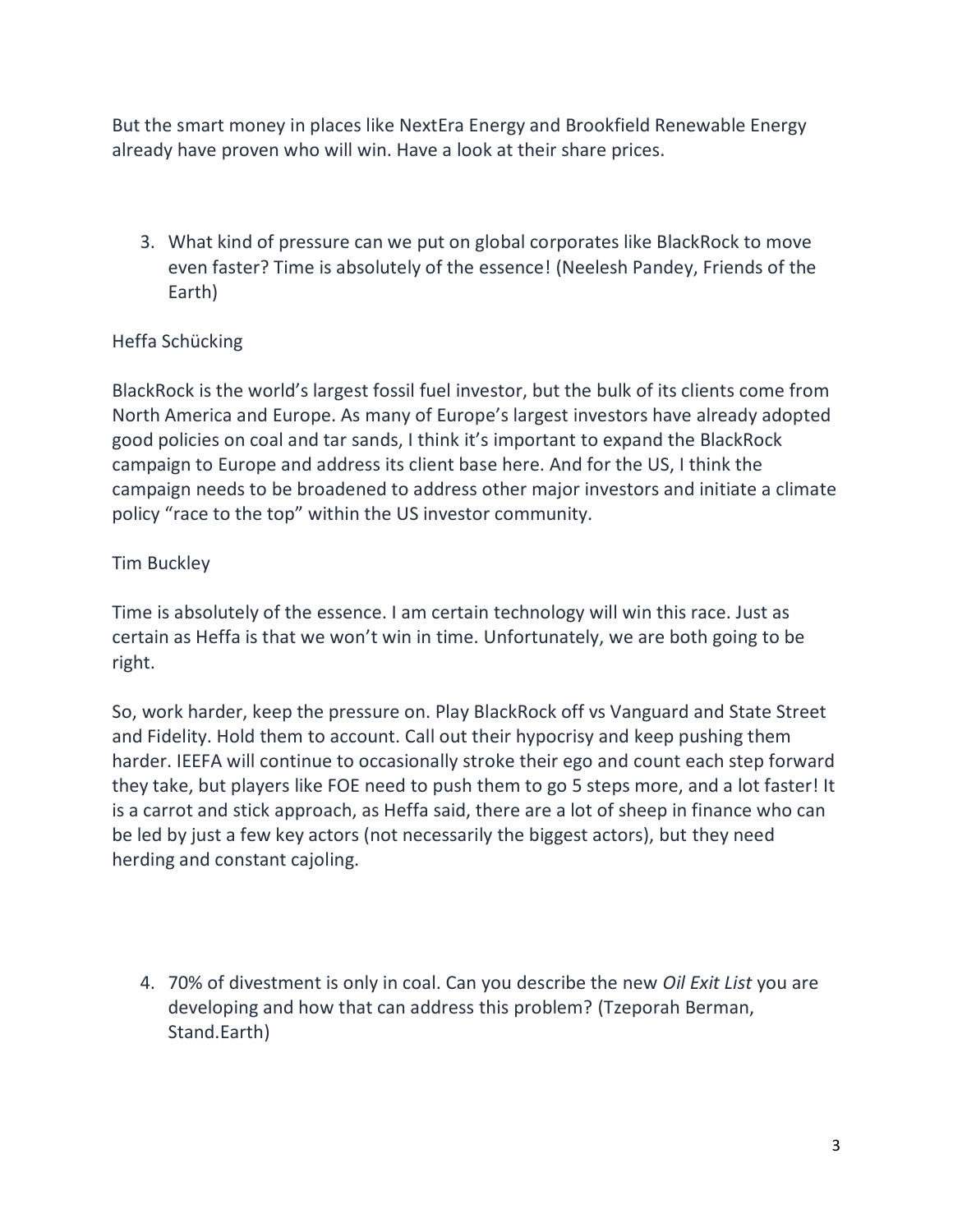But the smart money in places like NextEra Energy and Brookfield Renewable Energy already have proven who will win. Have a look at their share prices.

3. What kind of pressure can we put on global corporates like BlackRock to move even faster? Time is absolutely of the essence! (Neelesh Pandey, Friends of the Earth)

### Heffa Schücking

BlackRock is the world's largest fossil fuel investor, but the bulk of its clients come from North America and Europe. As many of Europe's largest investors have already adopted good policies on coal and tar sands, I think it's important to expand the BlackRock campaign to Europe and address its client base here. And for the US, I think the campaign needs to be broadened to address other major investors and initiate a climate policy "race to the top" within the US investor community.

### Tim Buckley

Time is absolutely of the essence. I am certain technology will win this race. Just as certain as Heffa is that we won't win in time. Unfortunately, we are both going to be right.

So, work harder, keep the pressure on. Play BlackRock off vs Vanguard and State Street and Fidelity. Hold them to account. Call out their hypocrisy and keep pushing them harder. IEEFA will continue to occasionally stroke their ego and count each step forward they take, but players like FOE need to push them to go 5 steps more, and a lot faster! It is a carrot and stick approach, as Heffa said, there are a lot of sheep in finance who can be led by just a few key actors (not necessarily the biggest actors), but they need herding and constant cajoling.

4. 70% of divestment is only in coal. Can you describe the new *Oil Exit List* you are developing and how that can address this problem? (Tzeporah Berman, Stand.Earth)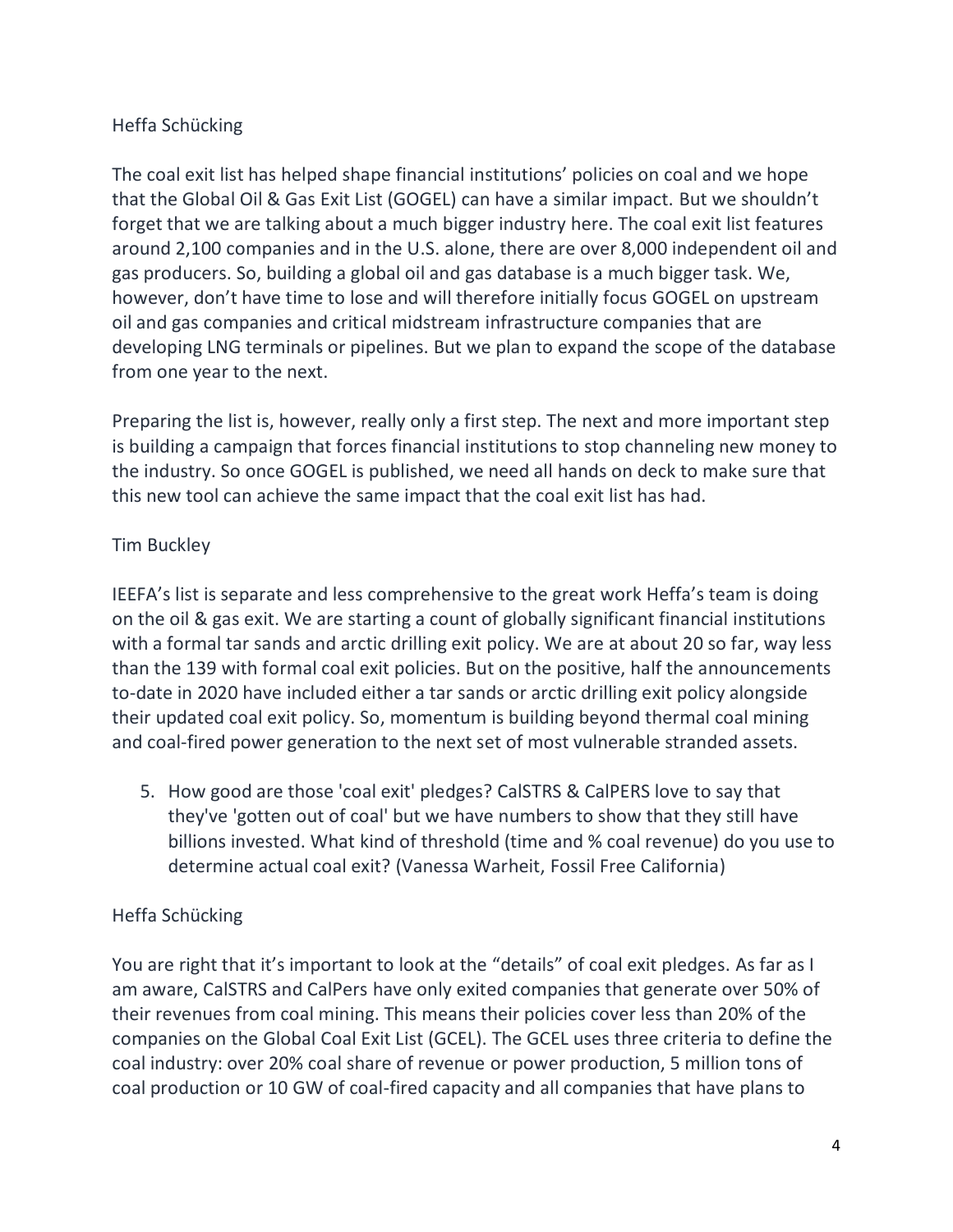## Heffa Schücking

The coal exit list has helped shape financial institutions' policies on coal and we hope that the Global Oil & Gas Exit List (GOGEL) can have a similar impact. But we shouldn't forget that we are talking about a much bigger industry here. The coal exit list features around 2,100 companies and in the U.S. alone, there are over 8,000 independent oil and gas producers. So, building a global oil and gas database is a much bigger task. We, however, don't have time to lose and will therefore initially focus GOGEL on upstream oil and gas companies and critical midstream infrastructure companies that are developing LNG terminals or pipelines. But we plan to expand the scope of the database from one year to the next.

Preparing the list is, however, really only a first step. The next and more important step is building a campaign that forces financial institutions to stop channeling new money to the industry. So once GOGEL is published, we need all hands on deck to make sure that this new tool can achieve the same impact that the coal exit list has had.

#### Tim Buckley

IEEFA's list is separate and less comprehensive to the great work Heffa's team is doing on the oil & gas exit. We are starting a count of globally significant financial institutions with a formal tar sands and arctic drilling exit policy. We are at about 20 so far, way less than the 139 with formal coal exit policies. But on the positive, half the announcements to-date in 2020 have included either a tar sands or arctic drilling exit policy alongside their updated coal exit policy. So, momentum is building beyond thermal coal mining and coal-fired power generation to the next set of most vulnerable stranded assets.

5. How good are those 'coal exit' pledges? CalSTRS & CalPERS love to say that they've 'gotten out of coal' but we have numbers to show that they still have billions invested. What kind of threshold (time and % coal revenue) do you use to determine actual coal exit? (Vanessa Warheit, Fossil Free California)

## Heffa Schücking

You are right that it's important to look at the "details" of coal exit pledges. As far as I am aware, CalSTRS and CalPers have only exited companies that generate over 50% of their revenues from coal mining. This means their policies cover less than 20% of the companies on the Global Coal Exit List (GCEL). The GCEL uses three criteria to define the coal industry: over 20% coal share of revenue or power production, 5 million tons of coal production or 10 GW of coal-fired capacity and all companies that have plans to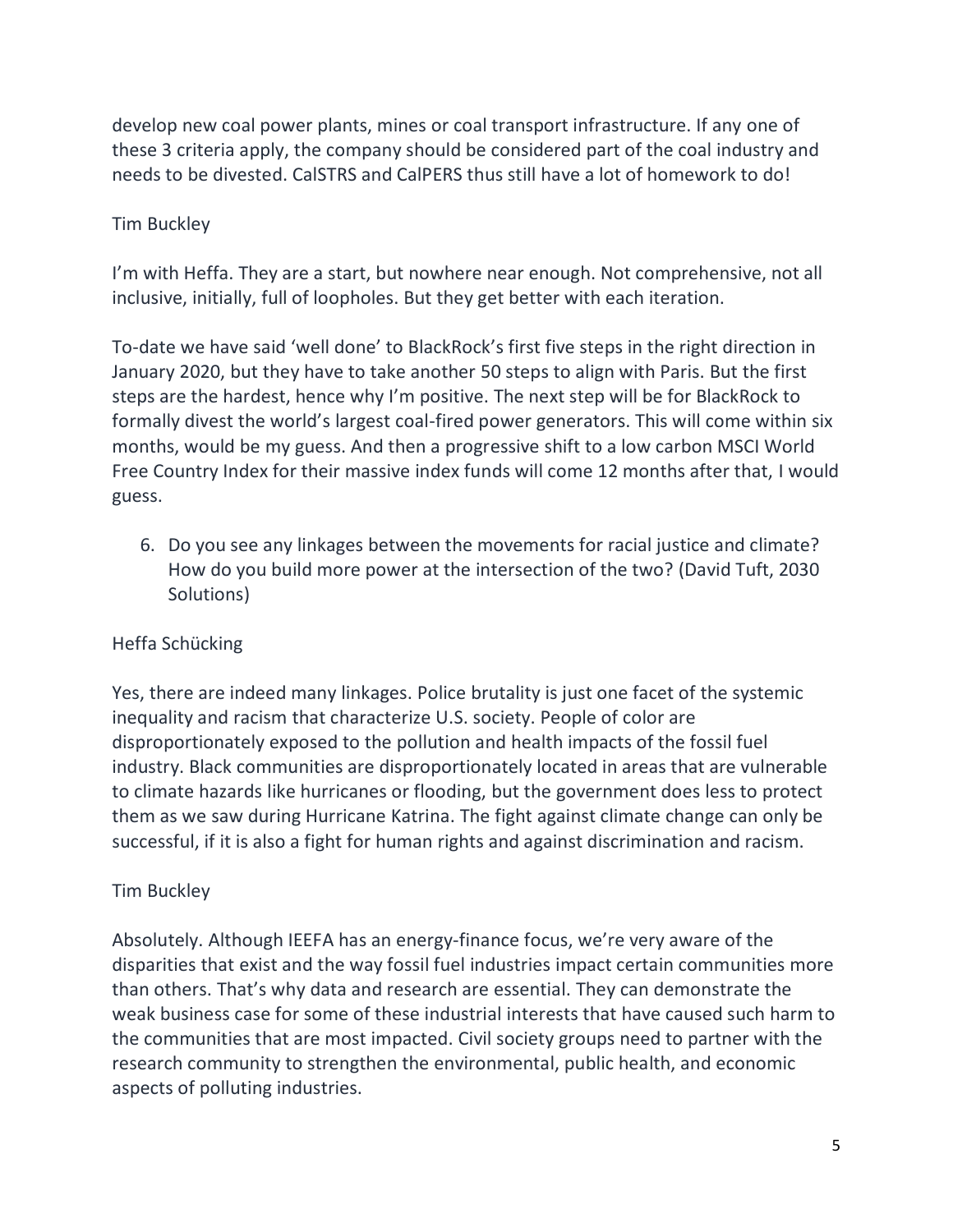develop new coal power plants, mines or coal transport infrastructure. If any one of these 3 criteria apply, the company should be considered part of the coal industry and needs to be divested. CalSTRS and CalPERS thus still have a lot of homework to do!

### Tim Buckley

I'm with Heffa. They are a start, but nowhere near enough. Not comprehensive, not all inclusive, initially, full of loopholes. But they get better with each iteration.

To-date we have said 'well done' to BlackRock's first five steps in the right direction in January 2020, but they have to take another 50 steps to align with Paris. But the first steps are the hardest, hence why I'm positive. The next step will be for BlackRock to formally divest the world's largest coal-fired power generators. This will come within six months, would be my guess. And then a progressive shift to a low carbon MSCI World Free Country Index for their massive index funds will come 12 months after that, I would guess.

6. Do you see any linkages between the movements for racial justice and climate? How do you build more power at the intersection of the two? (David Tuft, 2030 Solutions)

## Heffa Schücking

Yes, there are indeed many linkages. Police brutality is just one facet of the systemic inequality and racism that characterize U.S. society. People of color are disproportionately exposed to the pollution and health impacts of the fossil fuel industry. Black communities are disproportionately located in areas that are vulnerable to climate hazards like hurricanes or flooding, but the government does less to protect them as we saw during Hurricane Katrina. The fight against climate change can only be successful, if it is also a fight for human rights and against discrimination and racism.

#### Tim Buckley

Absolutely. Although IEEFA has an energy-finance focus, we're very aware of the disparities that exist and the way fossil fuel industries impact certain communities more than others. That's why data and research are essential. They can demonstrate the weak business case for some of these industrial interests that have caused such harm to the communities that are most impacted. Civil society groups need to partner with the research community to strengthen the environmental, public health, and economic aspects of polluting industries.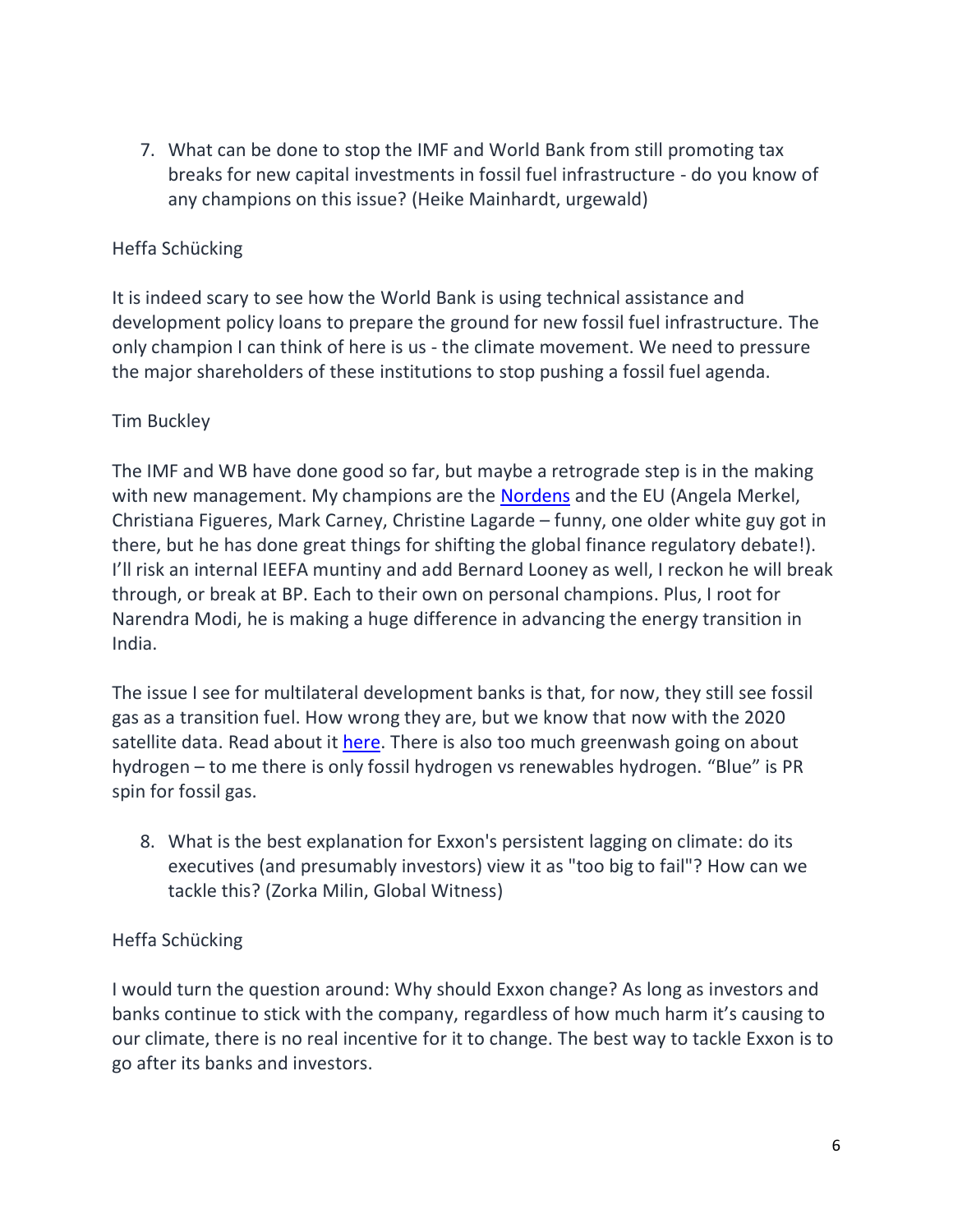7. What can be done to stop the IMF and World Bank from still promoting tax breaks for new capital investments in fossil fuel infrastructure - do you know of any champions on this issue? (Heike Mainhardt, urgewald)

## Heffa Schücking

It is indeed scary to see how the World Bank is using technical assistance and development policy loans to prepare the ground for new fossil fuel infrastructure. The only champion I can think of here is us - the climate movement. We need to pressure the major shareholders of these institutions to stop pushing a fossil fuel agenda.

### Tim Buckley

The IMF and WB have done good so far, but maybe a retrograde step is in the making with new management. My champions are the [Nordens](https://ieefa.org/ieefa-nordic-region-leading-by-example-since-2013/) and the EU (Angela Merkel, Christiana Figueres, Mark Carney, Christine Lagarde – funny, one older white guy got in there, but he has done great things for shifting the global finance regulatory debate!). I'll risk an internal IEEFA muntiny and add Bernard Looney as well, I reckon he will break through, or break at BP. Each to their own on personal champions. Plus, I root for Narendra Modi, he is making a huge difference in advancing the energy transition in India.

The issue I see for multilateral development banks is that, for now, they still see fossil gas as a transition fuel. How wrong they are, but we know that now with the 2020 satellite data. Read about it [here.](https://www.desmogblog.com/2020/04/25/new-satellite-data-confirms-scale-methane-leaks-permian-region) There is also too much greenwash going on about hydrogen – to me there is only fossil hydrogen vs renewables hydrogen. "Blue" is PR spin for fossil gas.

8. What is the best explanation for Exxon's persistent lagging on climate: do its executives (and presumably investors) view it as "too big to fail"? How can we tackle this? (Zorka Milin, Global Witness)

## Heffa Schücking

I would turn the question around: Why should Exxon change? As long as investors and banks continue to stick with the company, regardless of how much harm it's causing to our climate, there is no real incentive for it to change. The best way to tackle Exxon is to go after its banks and investors.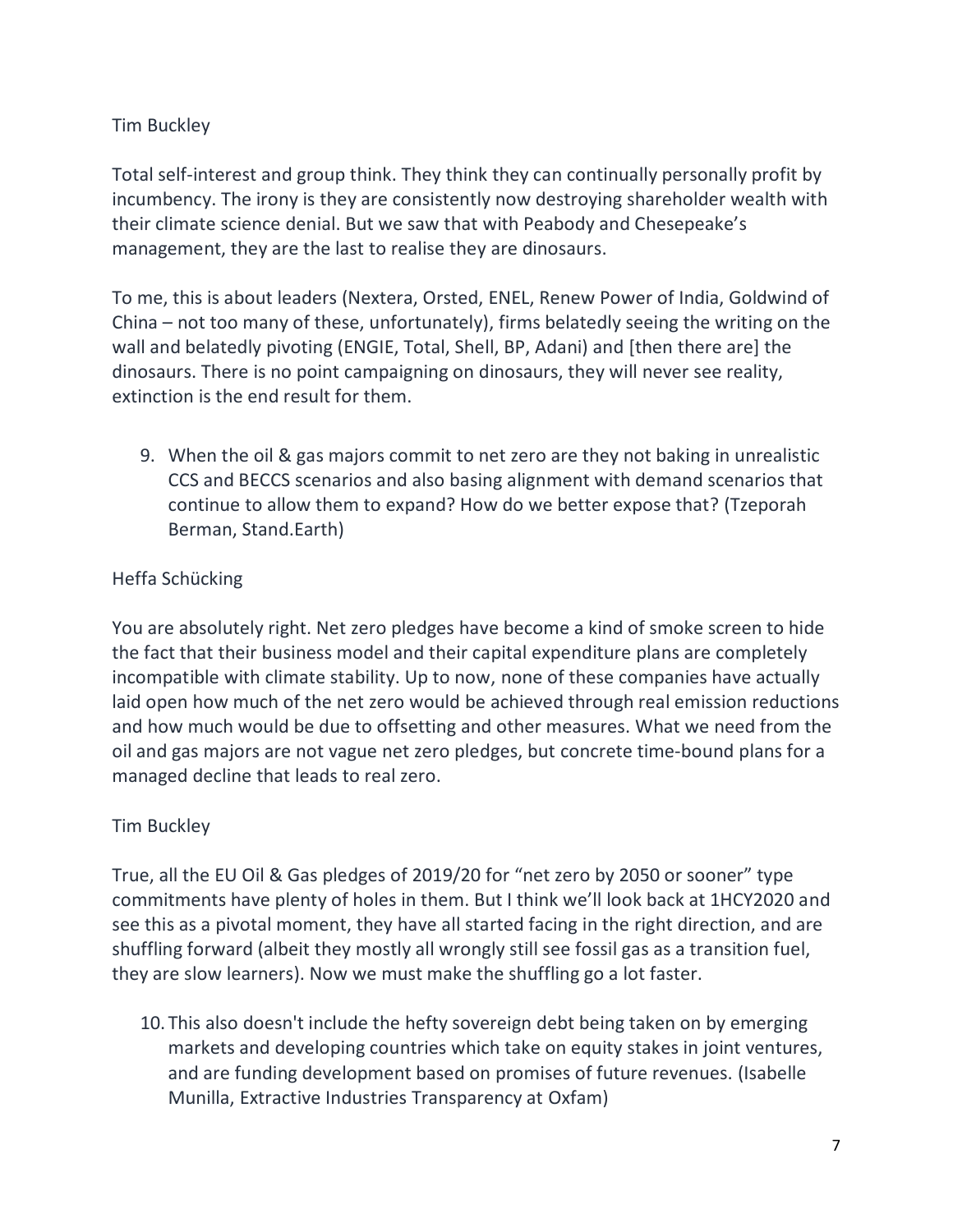Total self-interest and group think. They think they can continually personally profit by incumbency. The irony is they are consistently now destroying shareholder wealth with their climate science denial. But we saw that with Peabody and Chesepeake's management, they are the last to realise they are dinosaurs.

To me, this is about leaders (Nextera, Orsted, ENEL, Renew Power of India, Goldwind of China – not too many of these, unfortunately), firms belatedly seeing the writing on the wall and belatedly pivoting (ENGIE, Total, Shell, BP, Adani) and [then there are] the dinosaurs. There is no point campaigning on dinosaurs, they will never see reality, extinction is the end result for them.

9. When the oil & gas majors commit to net zero are they not baking in unrealistic CCS and BECCS scenarios and also basing alignment with demand scenarios that continue to allow them to expand? How do we better expose that? (Tzeporah Berman, Stand.Earth)

### Heffa Schücking

You are absolutely right. Net zero pledges have become a kind of smoke screen to hide the fact that their business model and their capital expenditure plans are completely incompatible with climate stability. Up to now, none of these companies have actually laid open how much of the net zero would be achieved through real emission reductions and how much would be due to offsetting and other measures. What we need from the oil and gas majors are not vague net zero pledges, but concrete time-bound plans for a managed decline that leads to real zero.

## Tim Buckley

True, all the EU Oil & Gas pledges of 2019/20 for "net zero by 2050 or sooner" type commitments have plenty of holes in them. But I think we'll look back at 1HCY2020 and see this as a pivotal moment, they have all started facing in the right direction, and are shuffling forward (albeit they mostly all wrongly still see fossil gas as a transition fuel, they are slow learners). Now we must make the shuffling go a lot faster.

10. This also doesn't include the hefty sovereign debt being taken on by emerging markets and developing countries which take on equity stakes in joint ventures, and are funding development based on promises of future revenues. (Isabelle Munilla, Extractive Industries Transparency at Oxfam)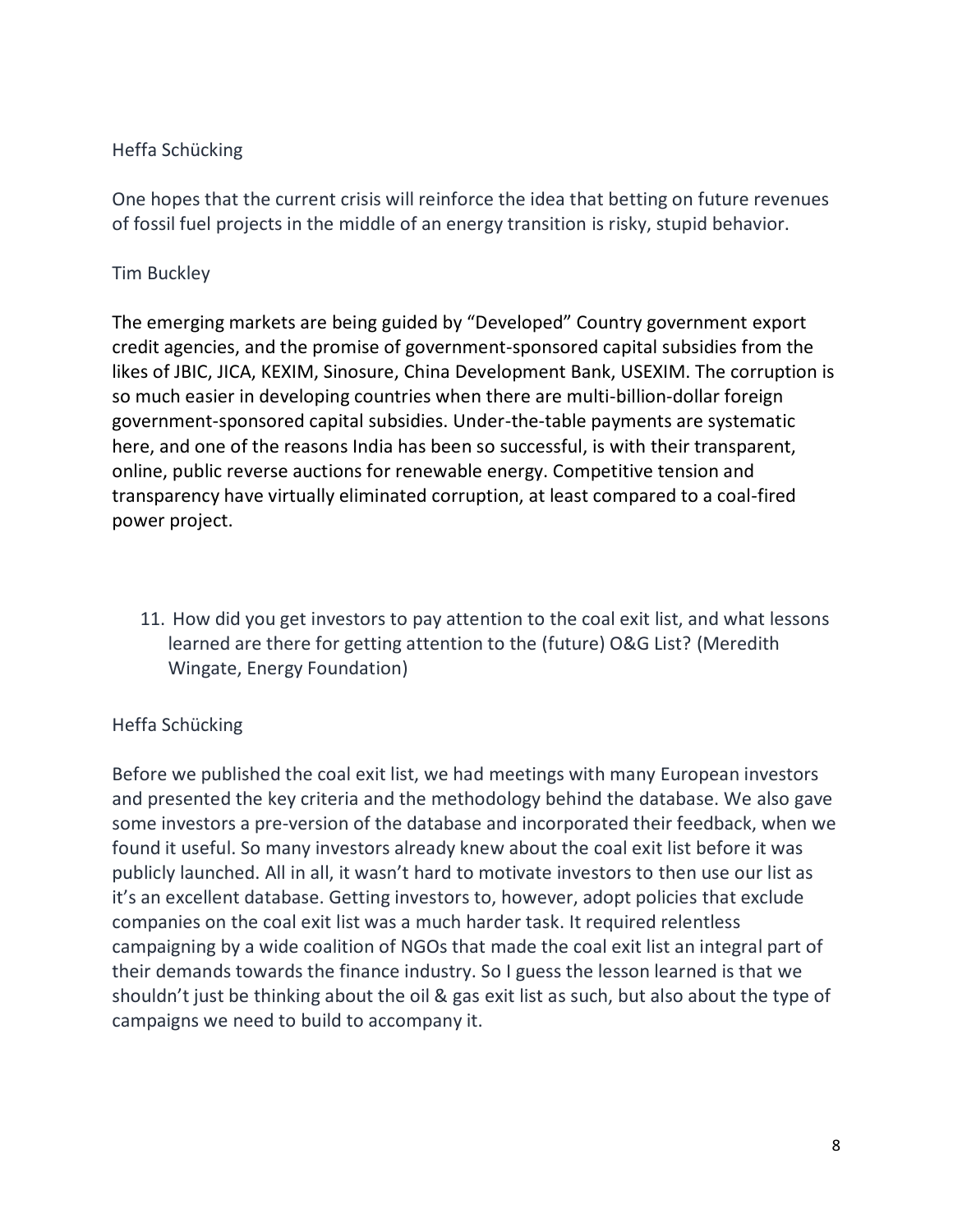#### Heffa Schücking

One hopes that the current crisis will reinforce the idea that betting on future revenues of fossil fuel projects in the middle of an energy transition is risky, stupid behavior.

## Tim Buckley

The emerging markets are being guided by "Developed" Country government export credit agencies, and the promise of government-sponsored capital subsidies from the likes of JBIC, JICA, KEXIM, Sinosure, China Development Bank, USEXIM. The corruption is so much easier in developing countries when there are multi-billion-dollar foreign government-sponsored capital subsidies. Under-the-table payments are systematic here, and one of the reasons India has been so successful, is with their transparent, online, public reverse auctions for renewable energy. Competitive tension and transparency have virtually eliminated corruption, at least compared to a coal-fired power project.

11. How did you get investors to pay attention to the coal exit list, and what lessons learned are there for getting attention to the (future) O&G List? (Meredith Wingate, Energy Foundation)

## Heffa Schücking

Before we published the coal exit list, we had meetings with many European investors and presented the key criteria and the methodology behind the database. We also gave some investors a pre-version of the database and incorporated their feedback, when we found it useful. So many investors already knew about the coal exit list before it was publicly launched. All in all, it wasn't hard to motivate investors to then use our list as it's an excellent database. Getting investors to, however, adopt policies that exclude companies on the coal exit list was a much harder task. It required relentless campaigning by a wide coalition of NGOs that made the coal exit list an integral part of their demands towards the finance industry. So I guess the lesson learned is that we shouldn't just be thinking about the oil & gas exit list as such, but also about the type of campaigns we need to build to accompany it.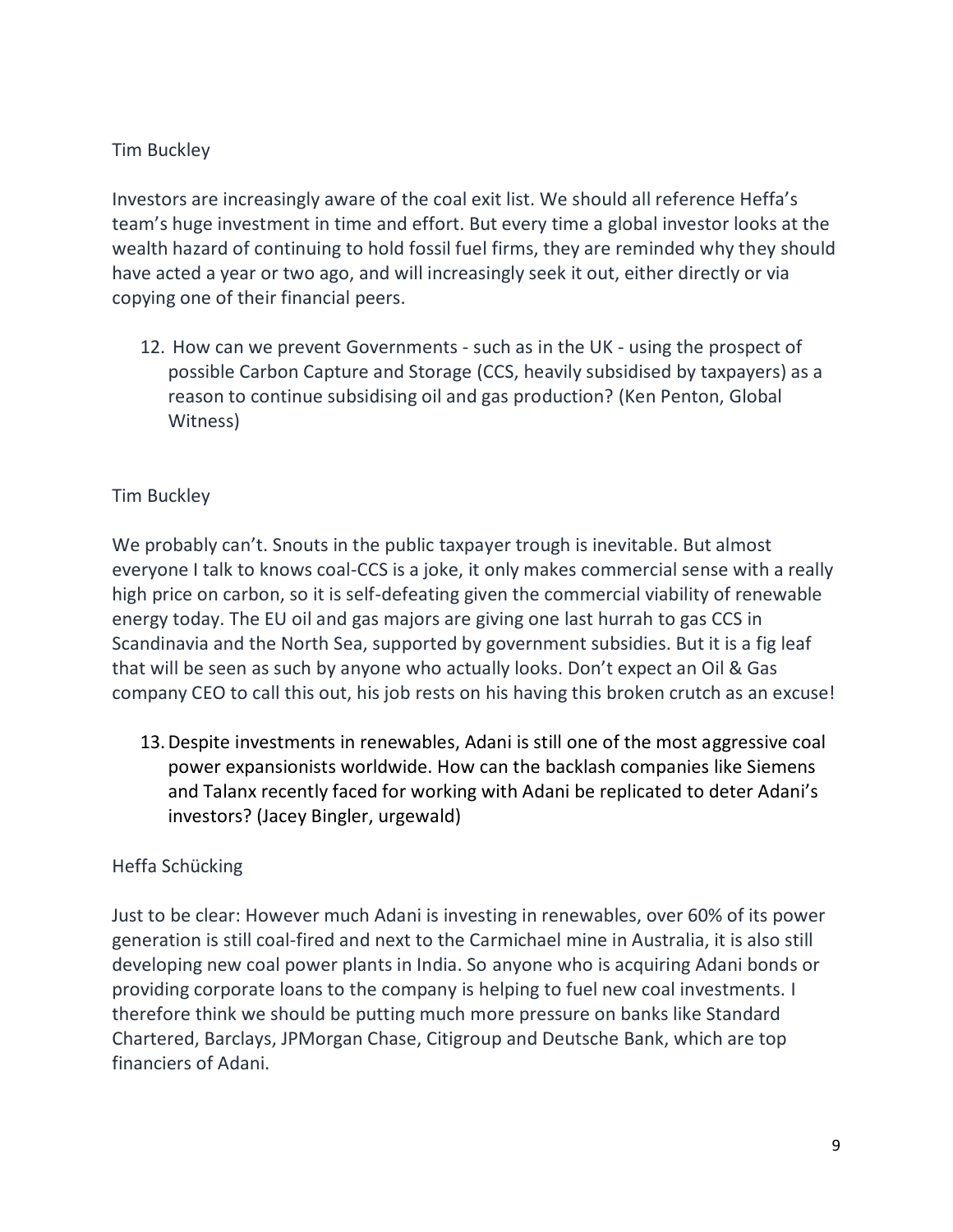Investors are increasingly aware of the coal exit list. We should all reference Heffa's team's huge investment in time and effort. But every time a global investor looks at the wealth hazard of continuing to hold fossil fuel firms, they are reminded why they should have acted a year or two ago, and will increasingly seek it out, either directly or via copying one of their financial peers.

12. How can we prevent Governments - such as in the UK - using the prospect of possible Carbon Capture and Storage (CCS, heavily subsidised by taxpayers) as a reason to continue subsidising oil and gas production? (Ken Penton, Global Witness)

## Tim Buckley

We probably can't. Snouts in the public taxpayer trough is inevitable. But almost everyone I talk to knows coal-CCS is a joke, it only makes commercial sense with a really high price on carbon, so it is self-defeating given the commercial viability of renewable energy today. The EU oil and gas majors are giving one last hurrah to gas CCS in Scandinavia and the North Sea, supported by government subsidies. But it is a fig leaf that will be seen as such by anyone who actually looks. Don't expect an Oil & Gas company CEO to call this out, his job rests on his having this broken crutch as an excuse!

13.Despite investments in renewables, Adani is still one of the most aggressive coal power expansionists worldwide. How can the backlash companies like Siemens and Talanx recently faced for working with Adani be replicated to deter Adani's investors? (Jacey Bingler, urgewald)

## Heffa Schücking

Just to be clear: However much Adani is investing in renewables, over 60% of its power generation is still coal-fired and next to the Carmichael mine in Australia, it is also still developing new coal power plants in India. So anyone who is acquiring Adani bonds or providing corporate loans to the company is helping to fuel new coal investments. I therefore think we should be putting much more pressure on banks like Standard Chartered, Barclays, JPMorgan Chase, Citigroup and Deutsche Bank, which are top financiers of Adani.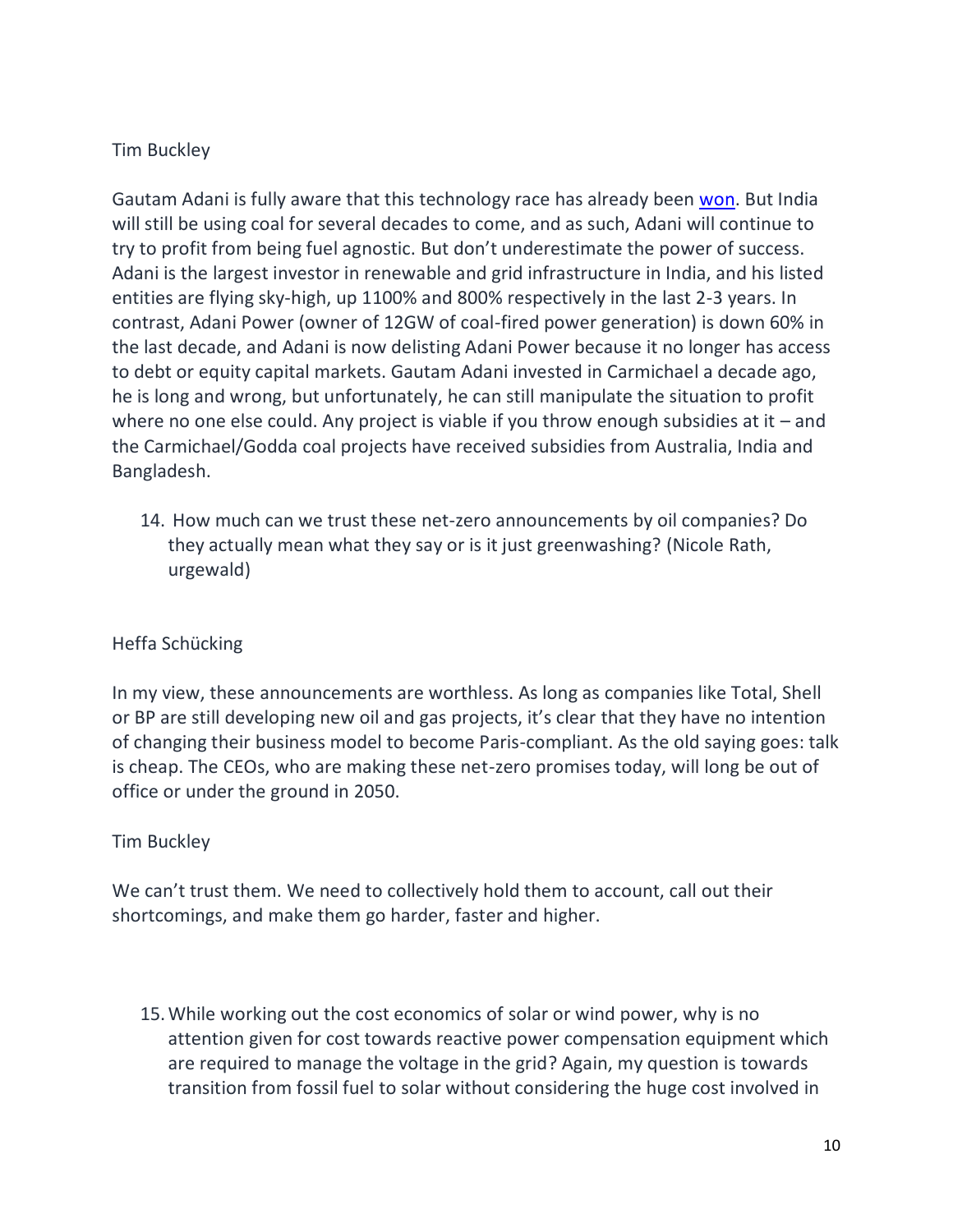Gautam Adani is fully aware that this technology race has already been [won.](https://www.linkedin.com/pulse/green-energy-acceleration-post-covid-world-gautam-adani/?trackingId=tavFdIeYLvbTCltQAfbrkw%3D%3D) But India will still be using coal for several decades to come, and as such, Adani will continue to try to profit from being fuel agnostic. But don't underestimate the power of success. Adani is the largest investor in renewable and grid infrastructure in India, and his listed entities are flying sky-high, up 1100% and 800% respectively in the last 2-3 years. In contrast, Adani Power (owner of 12GW of coal-fired power generation) is down 60% in the last decade, and Adani is now delisting Adani Power because it no longer has access to debt or equity capital markets. Gautam Adani invested in Carmichael a decade ago, he is long and wrong, but unfortunately, he can still manipulate the situation to profit where no one else could. Any project is viable if you throw enough subsidies at it  $-$  and the Carmichael/Godda coal projects have received subsidies from Australia, India and Bangladesh.

14. How much can we trust these net-zero announcements by oil companies? Do they actually mean what they say or is it just greenwashing? (Nicole Rath, urgewald)

## Heffa Schücking

In my view, these announcements are worthless. As long as companies like Total, Shell or BP are still developing new oil and gas projects, it's clear that they have no intention of changing their business model to become Paris-compliant. As the old saying goes: talk is cheap. The CEOs, who are making these net-zero promises today, will long be out of office or under the ground in 2050.

#### Tim Buckley

We can't trust them. We need to collectively hold them to account, call out their shortcomings, and make them go harder, faster and higher.

15.While working out the cost economics of solar or wind power, why is no attention given for cost towards reactive power compensation equipment which are required to manage the voltage in the grid? Again, my question is towards transition from fossil fuel to solar without considering the huge cost involved in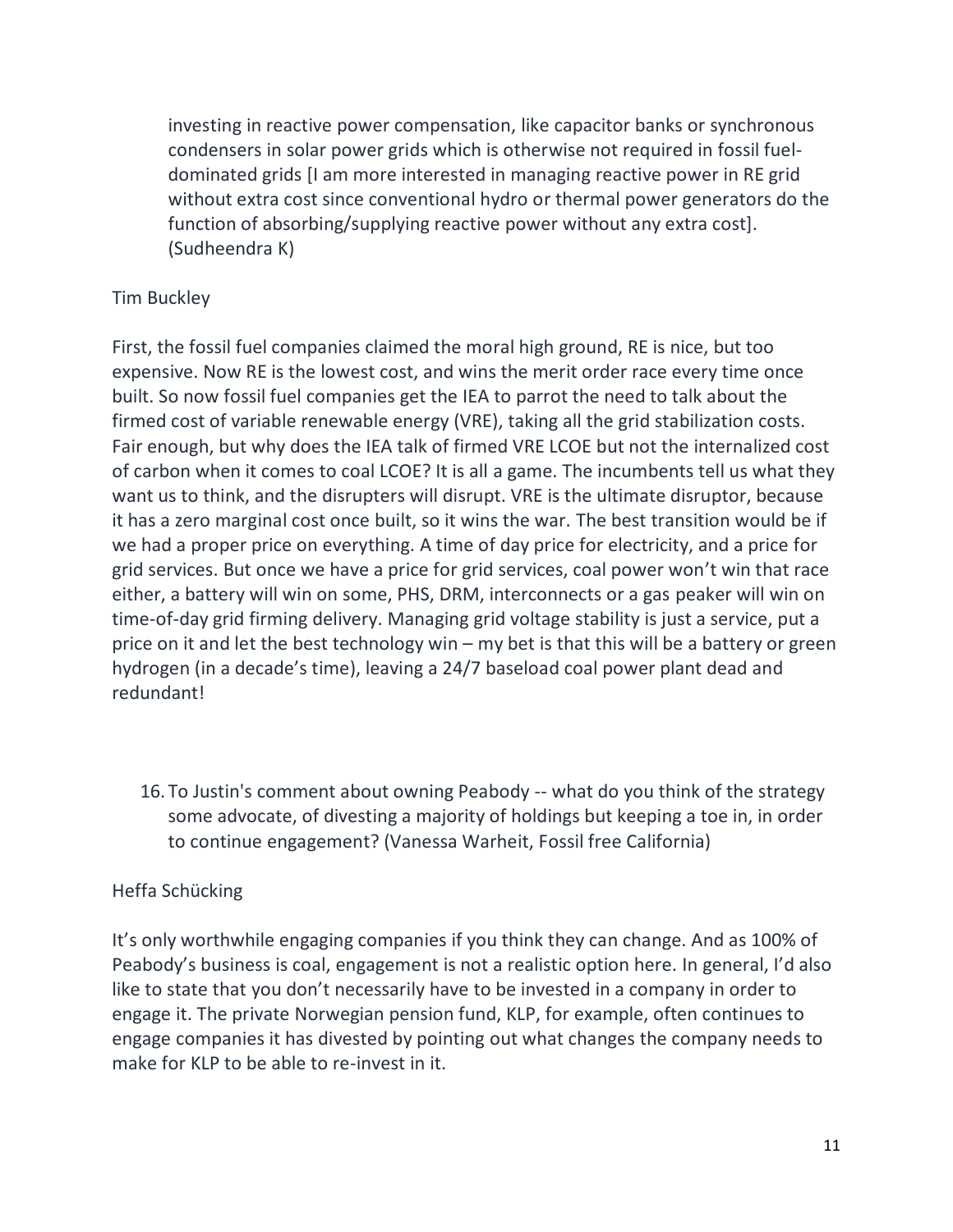investing in reactive power compensation, like capacitor banks or synchronous condensers in solar power grids which is otherwise not required in fossil fueldominated grids [I am more interested in managing reactive power in RE grid without extra cost since conventional hydro or thermal power generators do the function of absorbing/supplying reactive power without any extra cost]. (Sudheendra K)

#### Tim Buckley

First, the fossil fuel companies claimed the moral high ground, RE is nice, but too expensive. Now RE is the lowest cost, and wins the merit order race every time once built. So now fossil fuel companies get the IEA to parrot the need to talk about the firmed cost of variable renewable energy (VRE), taking all the grid stabilization costs. Fair enough, but why does the IEA talk of firmed VRE LCOE but not the internalized cost of carbon when it comes to coal LCOE? It is all a game. The incumbents tell us what they want us to think, and the disrupters will disrupt. VRE is the ultimate disruptor, because it has a zero marginal cost once built, so it wins the war. The best transition would be if we had a proper price on everything. A time of day price for electricity, and a price for grid services. But once we have a price for grid services, coal power won't win that race either, a battery will win on some, PHS, DRM, interconnects or a gas peaker will win on time-of-day grid firming delivery. Managing grid voltage stability is just a service, put a price on it and let the best technology win – my bet is that this will be a battery or green hydrogen (in a decade's time), leaving a 24/7 baseload coal power plant dead and redundant!

16. To Justin's comment about owning Peabody -- what do you think of the strategy some advocate, of divesting a majority of holdings but keeping a toe in, in order to continue engagement? (Vanessa Warheit, Fossil free California)

## Heffa Schücking

It's only worthwhile engaging companies if you think they can change. And as 100% of Peabody's business is coal, engagement is not a realistic option here. In general, I'd also like to state that you don't necessarily have to be invested in a company in order to engage it. The private Norwegian pension fund, KLP, for example, often continues to engage companies it has divested by pointing out what changes the company needs to make for KLP to be able to re-invest in it.